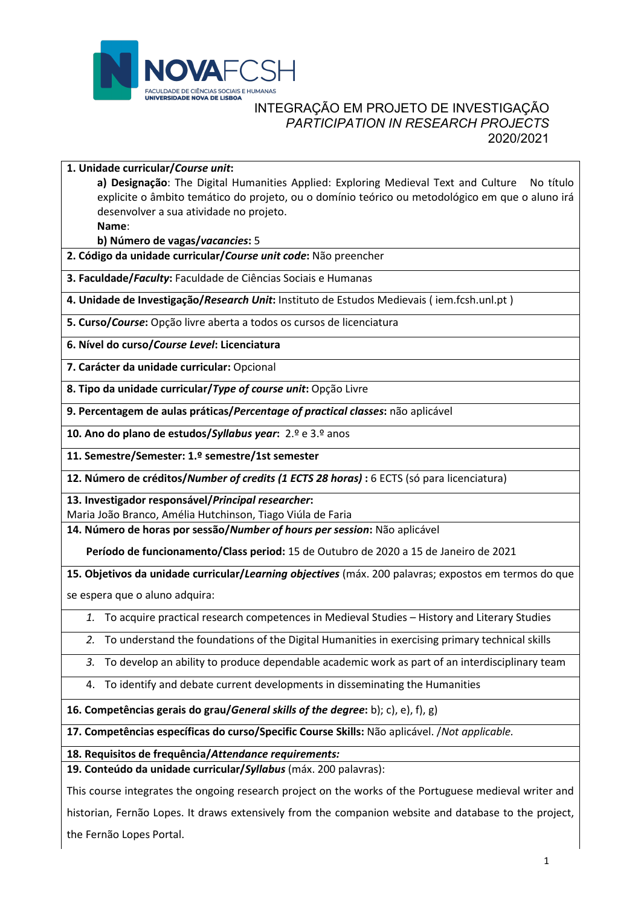

## INTEGRAÇÃO EM PROJETO DE INVESTIGAÇÃO *PARTICIPATION IN RESEARCH PROJECTS* 2020/2021

**1. Unidade curricular/***Course unit***:**

**a) Designação**: The Digital Humanities Applied: Exploring Medieval Text and Culture No título explicite o âmbito temático do projeto, ou o domínio teórico ou metodológico em que o aluno irá desenvolver a sua atividade no projeto.

**Name**:

**b) Número de vagas/***vacancies***:** 5

**2. Código da unidade curricular/***Course unit code***:** Não preencher

**3. Faculdade/***Faculty***:** Faculdade de Ciências Sociais e Humanas

**4. Unidade de Investigação/***Research Unit***:** Instituto de Estudos Medievais ( iem.fcsh.unl.pt )

**5. Curso/***Course***:** Opção livre aberta a todos os cursos de licenciatura

**6. Nível do curso/***Course Level***: Licenciatura**

**7. Carácter da unidade curricular:** Opcional

**8. Tipo da unidade curricular/***Type of course unit***:** Opção Livre

**9. Percentagem de aulas práticas/***Percentage of practical classes***:** não aplicável

**10. Ano do plano de estudos/***Syllabus year***:** 2.º e 3.º anos

**11. Semestre/Semester: 1.º semestre/1st semester**

**12. Número de créditos/***Number of credits (1 ECTS 28 horas)* **:** 6 ECTS (só para licenciatura)

**13. Investigador responsável/***Principal researcher***:**

Maria João Branco, Amélia Hutchinson, Tiago Viúla de Faria

**14. Número de horas por sessão/***Number of hours per session***:** Não aplicável

**Período de funcionamento/Class period:** 15 de Outubro de 2020 a 15 de Janeiro de 2021

**15. Objetivos da unidade curricular/***Learning objectives* (máx. 200 palavras; expostos em termos do que

se espera que o aluno adquira:

- *1.* To acquire practical research competences in Medieval Studies History and Literary Studies
- *2.* To understand the foundations of the Digital Humanities in exercising primary technical skills
- *3.* To develop an ability to produce dependable academic work as part of an interdisciplinary team
- 4. To identify and debate current developments in disseminating the Humanities

**16. Competências gerais do grau/***General skills of the degree***:** b); c), e), f), g)

**17. Competências específicas do curso/Specific Course Skills:** Não aplicável. /*Not applicable.*

**18. Requisitos de frequência/***Attendance requirements:*

**19. Conteúdo da unidade curricular/***Syllabus* (máx. 200 palavras):

This course integrates the ongoing research project on the works of the Portuguese medieval writer and

historian, Fernão Lopes. It draws extensively from the companion website and database to the project,

the Fernão Lopes Portal.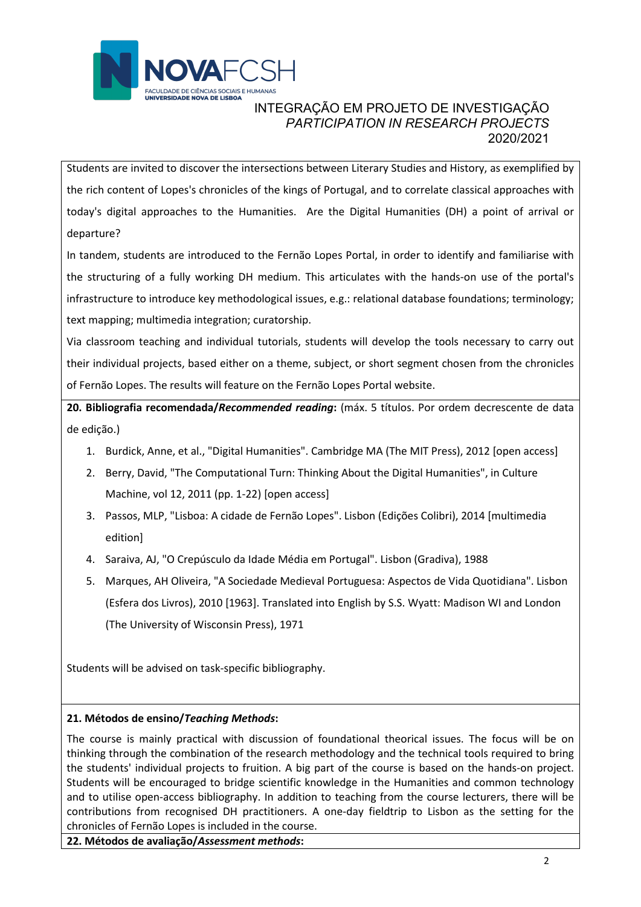

## INTEGRAÇÃO EM PROJETO DE INVESTIGAÇÃO *PARTICIPATION IN RESEARCH PROJECTS* 2020/2021

Students are invited to discover the intersections between Literary Studies and History, as exemplified by the rich content of Lopes's chronicles of the kings of Portugal, and to correlate classical approaches with today's digital approaches to the Humanities. Are the Digital Humanities (DH) a point of arrival or departure?

In tandem, students are introduced to the Fernão Lopes Portal, in order to identify and familiarise with the structuring of a fully working DH medium. This articulates with the hands-on use of the portal's infrastructure to introduce key methodological issues, e.g.: relational database foundations; terminology; text mapping; multimedia integration; curatorship.

Via classroom teaching and individual tutorials, students will develop the tools necessary to carry out their individual projects, based either on a theme, subject, or short segment chosen from the chronicles of Fernão Lopes. The results will feature on the Fernão Lopes Portal website.

**20. Bibliografia recomendada/***Recommended reading***:** (máx. 5 títulos. Por ordem decrescente de data de edição.)

- 1. Burdick, Anne, et al., "Digital Humanities". Cambridge MA (The MIT Press), 2012 [open access]
- 2. Berry, David, "The Computational Turn: Thinking About the Digital Humanities", in Culture Machine, vol 12, 2011 (pp. 1-22) [open access]
- 3. Passos, MLP, "Lisboa: A cidade de Fernão Lopes". Lisbon (Edições Colibri), 2014 [multimedia edition]
- 4. Saraiva, AJ, "O Crepúsculo da Idade Média em Portugal". Lisbon (Gradiva), 1988
- 5. Marques, AH Oliveira, "A Sociedade Medieval Portuguesa: Aspectos de Vida Quotidiana". Lisbon (Esfera dos Livros), 2010 [1963]. Translated into English by S.S. Wyatt: Madison WI and London (The University of Wisconsin Press), 1971

Students will be advised on task-specific bibliography.

## **21. Métodos de ensino/***Teaching Methods***:**

The course is mainly practical with discussion of foundational theorical issues. The focus will be on thinking through the combination of the research methodology and the technical tools required to bring the students' individual projects to fruition. A big part of the course is based on the hands-on project. Students will be encouraged to bridge scientific knowledge in the Humanities and common technology and to utilise open-access bibliography. In addition to teaching from the course lecturers, there will be contributions from recognised DH practitioners. A one-day fieldtrip to Lisbon as the setting for the chronicles of Fernão Lopes is included in the course.

**22. Métodos de avaliação/***Assessment methods***:**